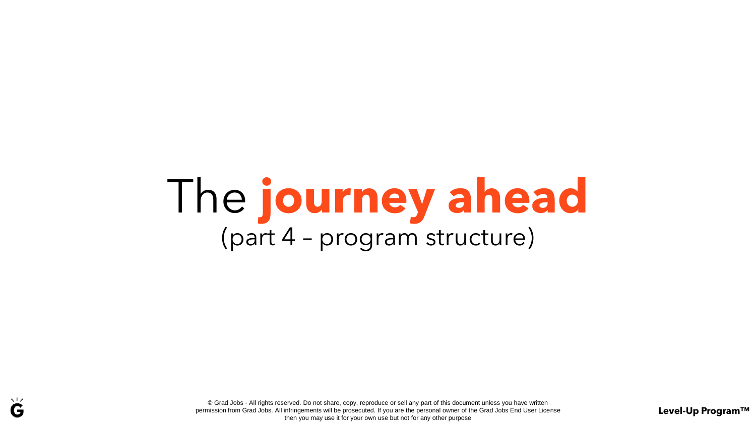## The **journey ahead** (part 4 – program structure)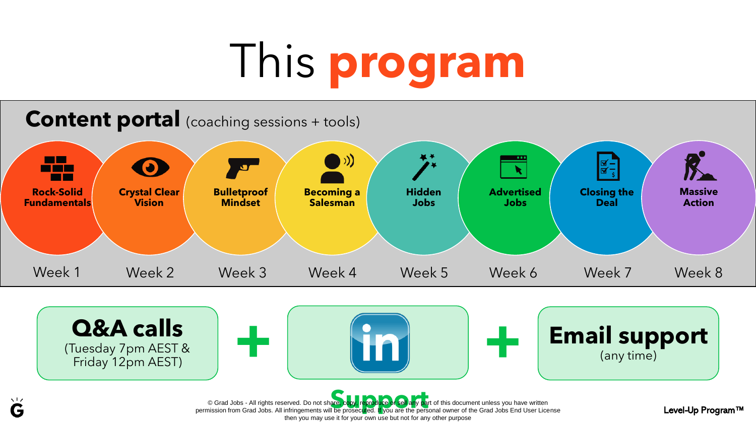# This **program**



**Q&A calls**  (Tuesday 7pm AEST &



(any time)

© Grad Jobs - All rights reserved. Do not share, copy, reproduce of sell any part of this document unless you have written<br>permission from Grad Jobs. All infringements will be prosecuted. If you are the personal owner of t then you may use it for your own use but not for any other purpose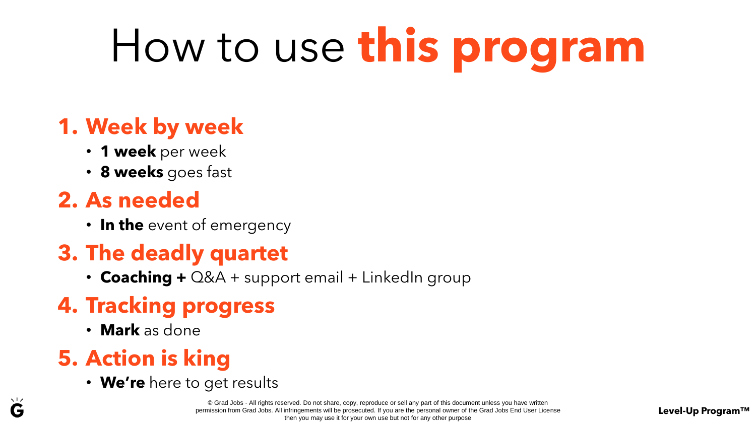# How to use **this program**

#### **1. Week by week**

- **1 week** per week
- **8 weeks** goes fast

#### **2. As needed**

• **In the** event of emergency

#### **3. The deadly quartet**

• **Coaching +** Q&A + support email + LinkedIn group

#### **4. Tracking progress**

• **Mark** as done

#### **5. Action is king**

• **We're** here to get results

© Grad Jobs - All rights reserved. Do not share, copy, reproduce or sell any part of this document unless you have written permission from Grad Jobs. All infringements will be prosecuted. If you are the personal owner of the Grad Jobs End User License then you may use it for your own use but not for any other purpose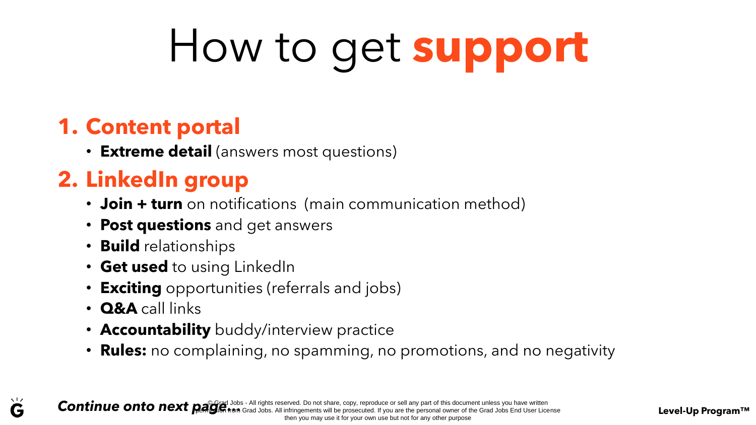# How to get **support**

#### **1. Content portal**

• **Extreme detail** (answers most questions)

#### **2. LinkedIn group**

- **Join + turn** on notifications (main communication method)
- **Post questions** and get answers
- **Build** relationships
- **Get used** to using LinkedIn
- **Exciting** opportunities (referrals and jobs)
- **Q&A** call links

 $\sqrt{17}$ G

- **Accountability** buddy/interview practice
- **Rules:** no complaining, no spamming, no promotions, and no negativity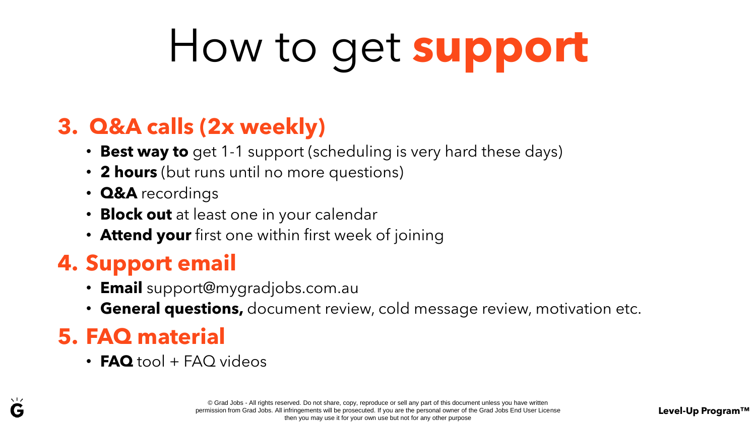# How to get **support**

#### **3. Q&A calls (2x weekly)**

- **Best way to** get 1-1 support (scheduling is very hard these days)
- **2 hours** (but runs until no more questions)
- **Q&A** recordings
- **Block out** at least one in your calendar
- **Attend your** first one within first week of joining

#### **4. Support email**

- **Email** support@mygradjobs.com.au
- **General questions,** document review, cold message review, motivation etc.

#### **5. FAQ material**

• **FAQ** tool + FAQ videos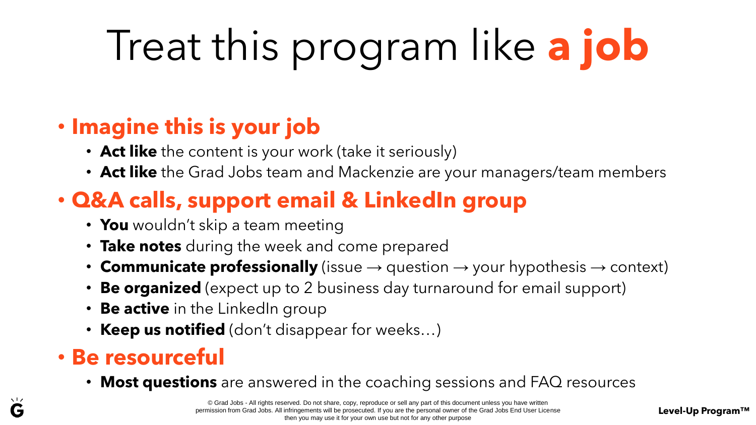## Treat this program like **a job**

#### • **Imagine this is your job**

- **Act like** the content is your work (take it seriously)
- **Act like** the Grad Jobs team and Mackenzie are your managers/team members

#### • **Q&A calls, support email & LinkedIn group**

- **You** wouldn't skip a team meeting
- **Take notes** during the week and come prepared
- **Communicate professionally** (issue  $\rightarrow$  question  $\rightarrow$  your hypothesis  $\rightarrow$  context)
- **Be organized** (expect up to 2 business day turnaround for email support)
- **Be active** in the LinkedIn group
- **Keep us notified** (don't disappear for weeks…)

#### • **Be resourceful**

• **Most questions** are answered in the coaching sessions and FAQ resources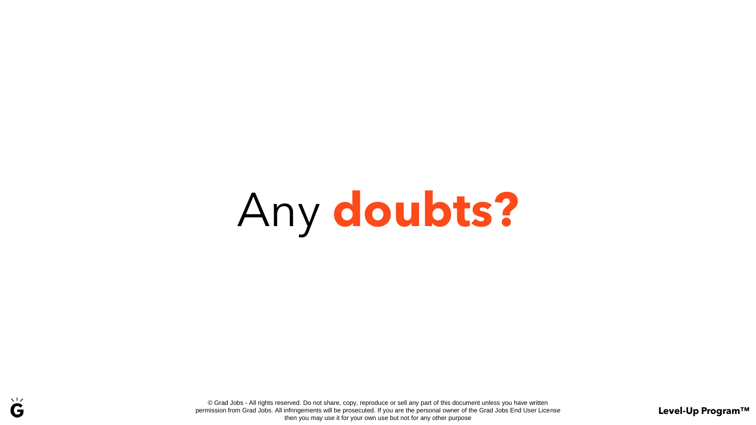# Any **doubts?**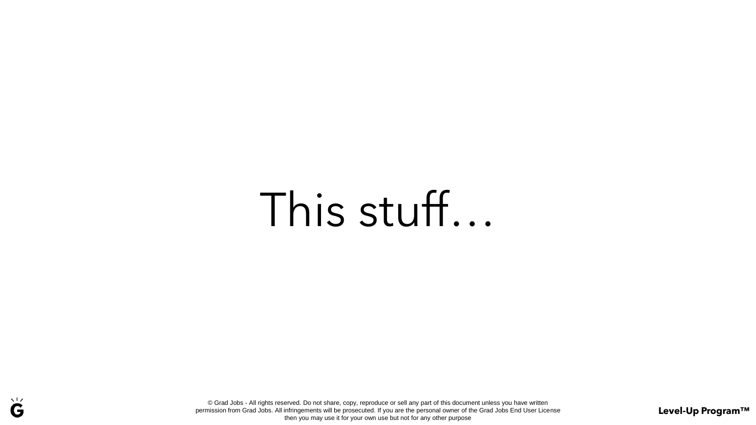## This stuff…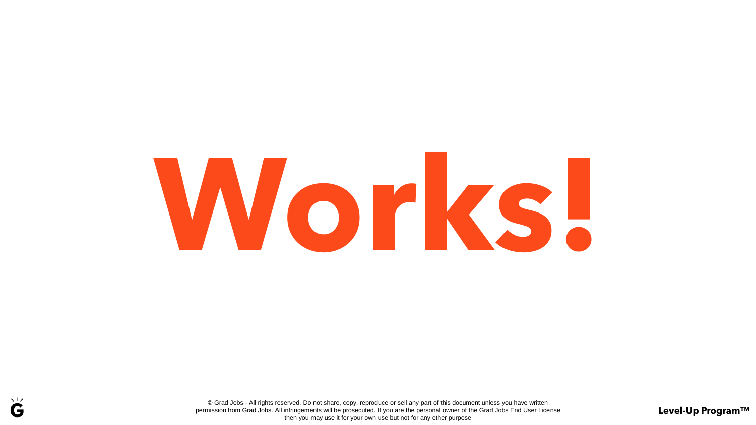# **Works!**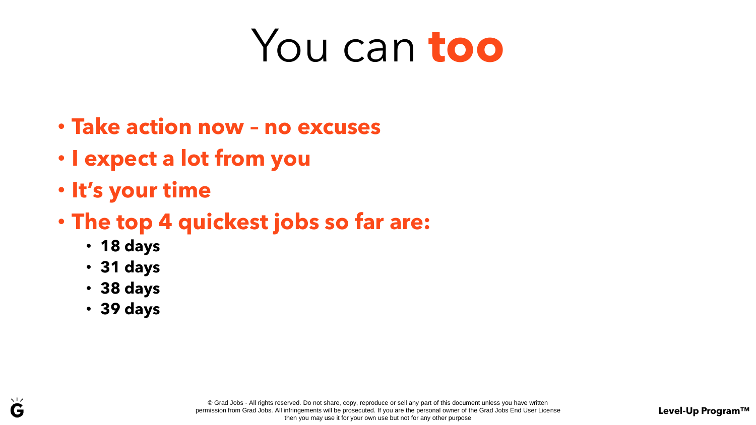## You can **too**

- **Take action now – no excuses**
- **I expect a lot from you**
- **It's your time**
- **The top 4 quickest jobs so far are:**
	- **18 days**
	- **31 days**
	- **38 days**
	- **39 days**

 $\sqrt{17}$ G